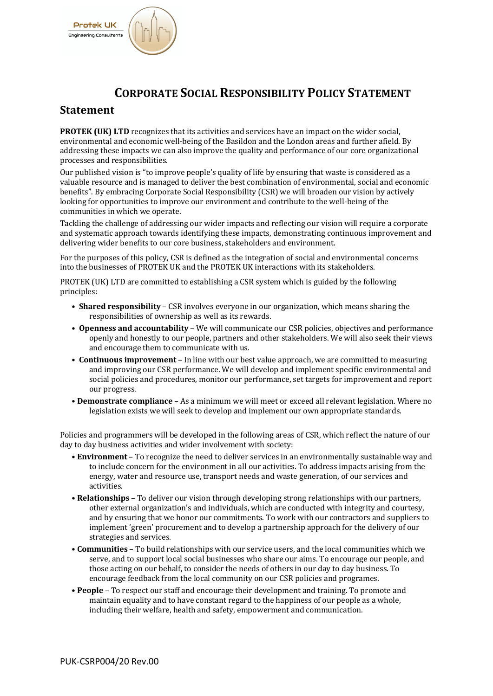

## **CORPORATE SOCIAL RESPONSIBILITY POLICY STATEMENT**

## **Statement**

**PROTEK (UK) LTD** recognizes that its activities and services have an impact on the wider social, environmental and economic well-being of the Basildon and the London areas and further afield. By addressing these impacts we can also improve the quality and performance of our core organizational processes and responsibilities.

Our published vision is "to improve people's quality of life by ensuring that waste is considered as a valuable resource and is managed to deliver the best combination of environmental, social and economic benefits". By embracing Corporate Social Responsibility (CSR) we will broaden our vision by actively looking for opportunities to improve our environment and contribute to the well-being of the communities in which we operate.

Tackling the challenge of addressing our wider impacts and reflecting our vision will require a corporate and systematic approach towards identifying these impacts, demonstrating continuous improvement and delivering wider benefits to our core business, stakeholders and environment.

For the purposes of this policy, CSR is defined as the integration of social and environmental concerns into the businesses of PROTEK UK and the PROTEK UK interactions with its stakeholders.

PROTEK (UK) LTD are committed to establishing a CSR system which is guided by the following principles: 

- **Shared responsibility** CSR involves everyone in our organization, which means sharing the responsibilities of ownership as well as its rewards.
- Openness and accountability We will communicate our CSR policies, objectives and performance openly and honestly to our people, partners and other stakeholders. We will also seek their views and encourage them to communicate with us.
- **Continuous improvement** In line with our best value approach, we are committed to measuring and improving our CSR performance. We will develop and implement specific environmental and social policies and procedures, monitor our performance, set targets for improvement and report our progress.
- Demonstrate compliance As a minimum we will meet or exceed all relevant legislation. Where no legislation exists we will seek to develop and implement our own appropriate standards.

Policies and programmers will be developed in the following areas of CSR, which reflect the nature of our day to day business activities and wider involvement with society:

- **Environment** To recognize the need to deliver services in an environmentally sustainable way and to include concern for the environment in all our activities. To address impacts arising from the energy, water and resource use, transport needs and waste generation, of our services and activities.
- **Relationships** To deliver our vision through developing strong relationships with our partners, other external organization's and individuals, which are conducted with integrity and courtesy, and by ensuring that we honor our commitments. To work with our contractors and suppliers to implement 'green' procurement and to develop a partnership approach for the delivery of our strategies and services.
- **Communities** To build relationships with our service users, and the local communities which we serve, and to support local social businesses who share our aims. To encourage our people, and those acting on our behalf, to consider the needs of others in our day to day business. To encourage feedback from the local community on our CSR policies and programes.
- **People** To respect our staff and encourage their development and training. To promote and maintain equality and to have constant regard to the happiness of our people as a whole, including their welfare, health and safety, empowerment and communication.